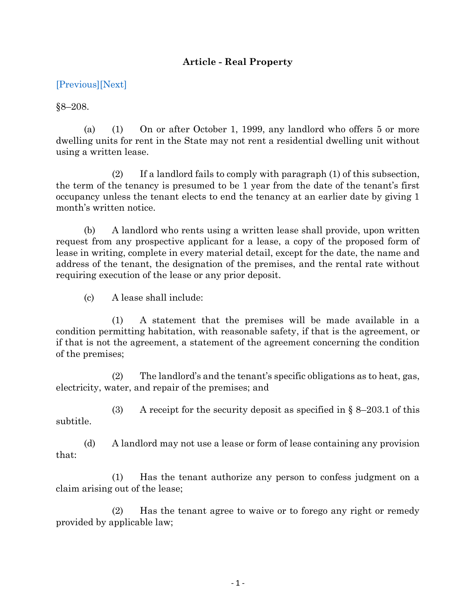## **Article - Real Property**

## [\[Previous\]](http://mgaleg.maryland.gov/2021RS/Statute_Web/grp/8-207.pdf)[\[Next\]](http://mgaleg.maryland.gov/2021RS/Statute_Web/grp/8-208.1.pdf)

 $§8 - 208.$ 

(a) (1) On or after October 1, 1999, any landlord who offers 5 or more dwelling units for rent in the State may not rent a residential dwelling unit without using a written lease.

 $(2)$  If a landlord fails to comply with paragraph  $(1)$  of this subsection, the term of the tenancy is presumed to be 1 year from the date of the tenant's first occupancy unless the tenant elects to end the tenancy at an earlier date by giving 1 month's written notice.

(b) A landlord who rents using a written lease shall provide, upon written request from any prospective applicant for a lease, a copy of the proposed form of lease in writing, complete in every material detail, except for the date, the name and address of the tenant, the designation of the premises, and the rental rate without requiring execution of the lease or any prior deposit.

(c) A lease shall include:

(1) A statement that the premises will be made available in a condition permitting habitation, with reasonable safety, if that is the agreement, or if that is not the agreement, a statement of the agreement concerning the condition of the premises;

(2) The landlord's and the tenant's specific obligations as to heat, gas, electricity, water, and repair of the premises; and

(3) A receipt for the security deposit as specified in  $\S$  8–203.1 of this subtitle.

(d) A landlord may not use a lease or form of lease containing any provision that:

(1) Has the tenant authorize any person to confess judgment on a claim arising out of the lease;

(2) Has the tenant agree to waive or to forego any right or remedy provided by applicable law;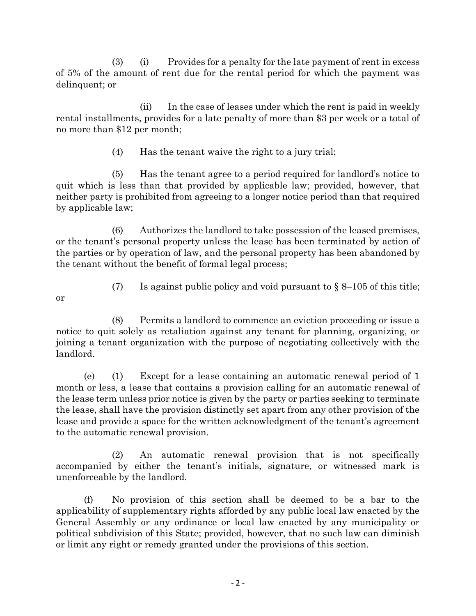(3) (i) Provides for a penalty for the late payment of rent in excess of 5% of the amount of rent due for the rental period for which the payment was delinquent; or

(ii) In the case of leases under which the rent is paid in weekly rental installments, provides for a late penalty of more than \$3 per week or a total of no more than \$12 per month;

(4) Has the tenant waive the right to a jury trial;

(5) Has the tenant agree to a period required for landlord's notice to quit which is less than that provided by applicable law; provided, however, that neither party is prohibited from agreeing to a longer notice period than that required by applicable law;

(6) Authorizes the landlord to take possession of the leased premises, or the tenant's personal property unless the lease has been terminated by action of the parties or by operation of law, and the personal property has been abandoned by the tenant without the benefit of formal legal process;

- or
- (7) Is against public policy and void pursuant to  $\S 8-105$  of this title;

(8) Permits a landlord to commence an eviction proceeding or issue a notice to quit solely as retaliation against any tenant for planning, organizing, or joining a tenant organization with the purpose of negotiating collectively with the landlord.

(e) (1) Except for a lease containing an automatic renewal period of 1 month or less, a lease that contains a provision calling for an automatic renewal of the lease term unless prior notice is given by the party or parties seeking to terminate the lease, shall have the provision distinctly set apart from any other provision of the lease and provide a space for the written acknowledgment of the tenant's agreement to the automatic renewal provision.

(2) An automatic renewal provision that is not specifically accompanied by either the tenant's initials, signature, or witnessed mark is unenforceable by the landlord.

(f) No provision of this section shall be deemed to be a bar to the applicability of supplementary rights afforded by any public local law enacted by the General Assembly or any ordinance or local law enacted by any municipality or political subdivision of this State; provided, however, that no such law can diminish or limit any right or remedy granted under the provisions of this section.